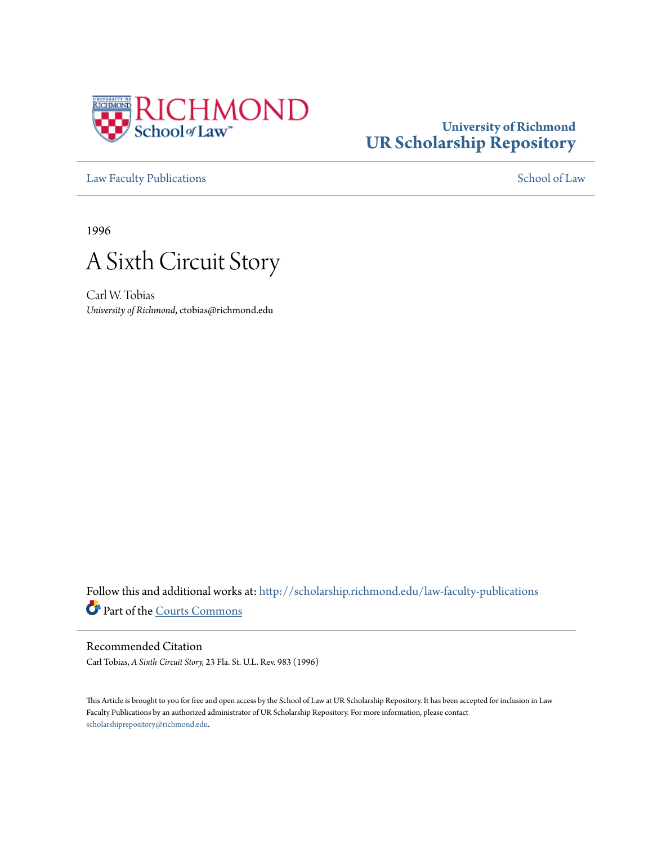

# **University of Richmond [UR Scholarship Repository](http://scholarship.richmond.edu?utm_source=scholarship.richmond.edu%2Flaw-faculty-publications%2F696&utm_medium=PDF&utm_campaign=PDFCoverPages)**

[Law Faculty Publications](http://scholarship.richmond.edu/law-faculty-publications?utm_source=scholarship.richmond.edu%2Flaw-faculty-publications%2F696&utm_medium=PDF&utm_campaign=PDFCoverPages) [School of Law](http://scholarship.richmond.edu/law?utm_source=scholarship.richmond.edu%2Flaw-faculty-publications%2F696&utm_medium=PDF&utm_campaign=PDFCoverPages)

1996



Carl W. Tobias *University of Richmond*, ctobias@richmond.edu

Follow this and additional works at: [http://scholarship.richmond.edu/law-faculty-publications](http://scholarship.richmond.edu/law-faculty-publications?utm_source=scholarship.richmond.edu%2Flaw-faculty-publications%2F696&utm_medium=PDF&utm_campaign=PDFCoverPages) Part of the [Courts Commons](http://network.bepress.com/hgg/discipline/839?utm_source=scholarship.richmond.edu%2Flaw-faculty-publications%2F696&utm_medium=PDF&utm_campaign=PDFCoverPages)

# Recommended Citation

Carl Tobias, *A Sixth Circuit Story,* 23 Fla. St. U.L. Rev. 983 (1996)

This Article is brought to you for free and open access by the School of Law at UR Scholarship Repository. It has been accepted for inclusion in Law Faculty Publications by an authorized administrator of UR Scholarship Repository. For more information, please contact [scholarshiprepository@richmond.edu.](mailto:scholarshiprepository@richmond.edu)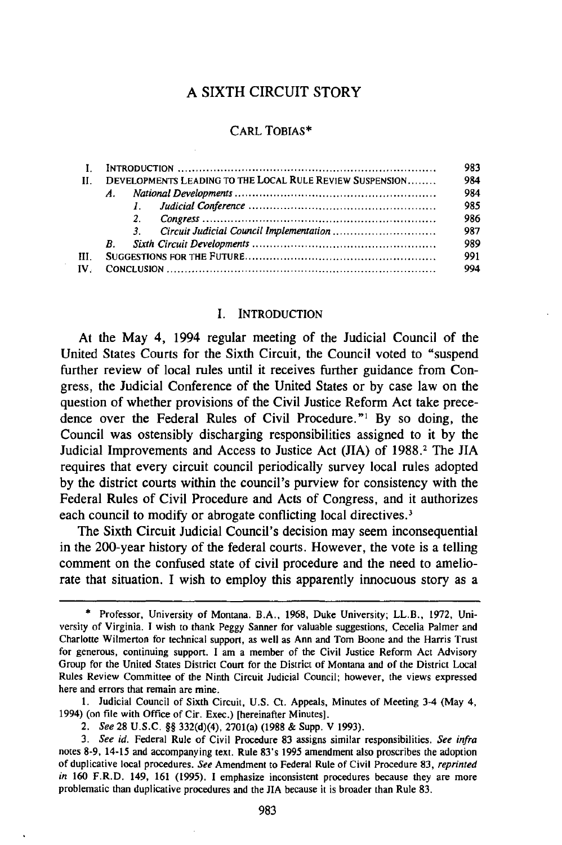# A SIXTH CIRCUIT STORY

## CARL TORIAS\*

|               |                                                          |              | 983 |
|---------------|----------------------------------------------------------|--------------|-----|
| -11 -         | DEVELOPMENTS LEADING TO THE LOCAL RULE REVIEW SUSPENSION |              | 984 |
|               | $A_{1}$                                                  |              | 984 |
|               |                                                          | $\mathbf{L}$ | 985 |
|               |                                                          | 2.           | 986 |
|               |                                                          | $\mathbf{3}$ | 987 |
|               | <b>B.</b>                                                |              | 989 |
| HL.           |                                                          |              | 991 |
| $\mathbf{IV}$ |                                                          |              | 994 |

#### I. INTRODUCTION

At the May 4, 1994 regular meeting of the Judicial Council of the United States Courts for the Sixth Circuit, the Council voted to "suspend further review of local rules until it receives further guidance from Congress, the Judicial Conference of the United States or by case law on the question of whether provisions of the Civil Justice Reform Act take precedence over the Federal Rules of Civil Procedure."<sup>1</sup> By so doing, the Council was ostensibly discharging responsibilities assigned to it by the Judicial Improvements and Access to Justice Act (JIA) of 1988.<sup>2</sup> The JIA requires that every circuit council periodically survey local rules adopted by the district courts within the council's purview for consistency with the Federal Rules of Civil Procedure and Acts of Congress, and it authorizes each council to modify or abrogate conflicting local directives.<sup>3</sup>

The Sixth Circuit Judicial Council's decision may seem inconsequential in the 200-year history of the federal courts. However, the vote is a telling comment on the confused state of civil procedure and the need to ameliorate that situation. I wish to employ this apparently innocuous story as a

1. Judicial Council of Sixth Circuit, U.S. Ct. Appeals, Minutes of Meeting 3-4 (May 4, 1994) (on file with Office of Cir. Exec.) [hereinafter Minutes].

<sup>\*</sup> Professor, University of Montana. B.A., 1968, Duke University; LL.B., 1972, University of Virginia. I wish to thank Peggy Sanner for valuable suggestions, Cecelia Palmer and Charlotte Wilmerton for technical support, as well as Ann and Tom Boone and the Harris Trust for generous, continuing support. I am a member of the Civil Justice Reform Act Advisory Group for the United States District Court for the District of Montana and of the District Local Rules Review Committee of the Ninth Circuit Judicial Council; however, the views expressed here and errors that remain are mine.

<sup>2.</sup> *See* 28 U.S.C. §§ 332(d)(4), 2701(a) (1988 & Supp. V 1993).

<sup>3.</sup> *See id.* Federal Rule of Civil Procedure 83 assigns similar responsibilities. *See infra*  notes 8-9, 14-15 and accompanying text. Rule 83's 1995 amendment also proscribes the adoption of duplicative local procedures. *See* Amendment to Federal Rule of Civil Procedure 83, *reprinted in* 160 F.R.D. 149, 161 (1995). I emphasize inconsistent procedures because they are more problematic than duplicative procedures and the JIA because it is broader than Rule 83.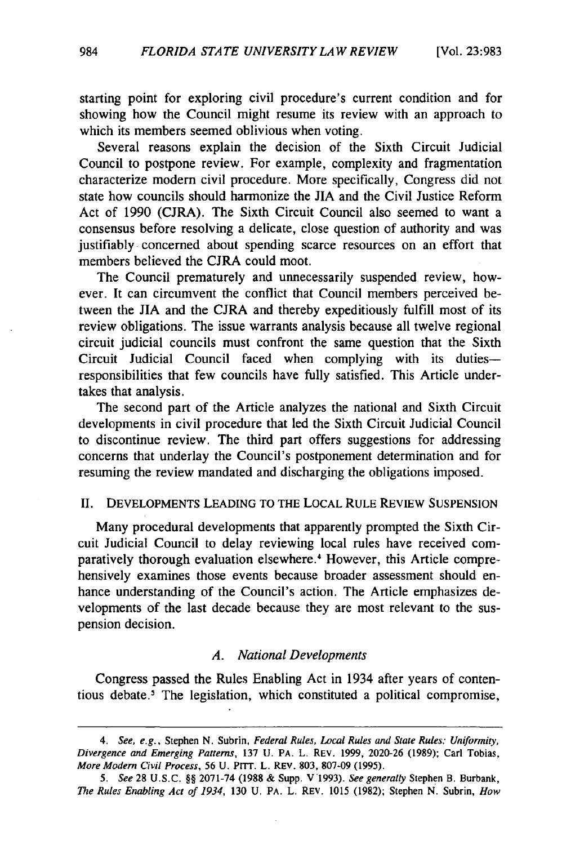starting point for exploring civil procedure's current condition and for showing how the Council might resume its review with an approach to which its members seemed oblivious when voting.

Several reasons explain the decision of the Sixth Circuit Judicial Council to postpone review. For example, complexity and fragmentation characterize modern civil procedure. More specifically, Congress did not state how councils should harmonize the JIA and the Civil Justice Reform Act of 1990 (CJRA). The Sixth Circuit Council also seemed to want a consensus before resolving a delicate, close question of authority and was justifiably concerned about spending scarce resources on an effort that members believed the CJRA could moot.

The Council prematurely and unnecessarily suspended review, however. It can circumvent the conflict that Council members perceived between the JIA and the CJRA and thereby expeditiously fulfill most of its review obligations. The issue warrants analysis because all twelve regional circuit judicial councils must confront the same question that the Sixth Circuit Judicial Council faced when complying with its dutiesresponsibilities that few councils have fully satisfied. This Article undertakes that analysis.

The second part of the Article analyzes the national and Sixth Circuit developments in civil procedure that led the Sixth Circuit Judicial Council to discontinue review. The third part offers suggestions for addressing concerns that underlay the Council's postponement determination and for resuming the review mandated and discharging the obligations imposed.

#### II. DEVELOPMENTS LEADING TO THE LOCAL RULE REVIEW SUSPENSION

Many procedural developments that apparently prompted the Sixth Circuit Judicial Council to delay reviewing local rules have received comparatively thorough evaluation elsewhere.<sup>4</sup> However, this Article comprehensively examines those events because broader assessment should enhance understanding of the Council's action. The Article emphasizes developments of the last decade because they are most relevant to the suspension decision.

#### *A. National Developments*

Congress passed the Rules Enabling Act in 1934 after years of contentious debate.<sup>5</sup> The legislation, which constituted a political compromise,

<sup>4.</sup> *See, e.g.,* Stephen N. Subrin, *Federal Rules, Local Rules and State Rules: Uniformity, Divergence and Emerging Patterns,* 137 U. PA. L. REV. 1999, 2020-26 (1989); Carl Tobias, *More Modern Civil Process, 56* U. PITT. L. REV. 803, 807-09 (1995).

*<sup>5.</sup> See* 28 U.S.C. §§ 2071-74 (1988 & Supp. V 1993). *See generally* Stephen B. Burbank, *The Rules Enabling Act of 1934,* 130 U. PA. L. REV. 1015 (1982); Stephen N. Subrin, *How*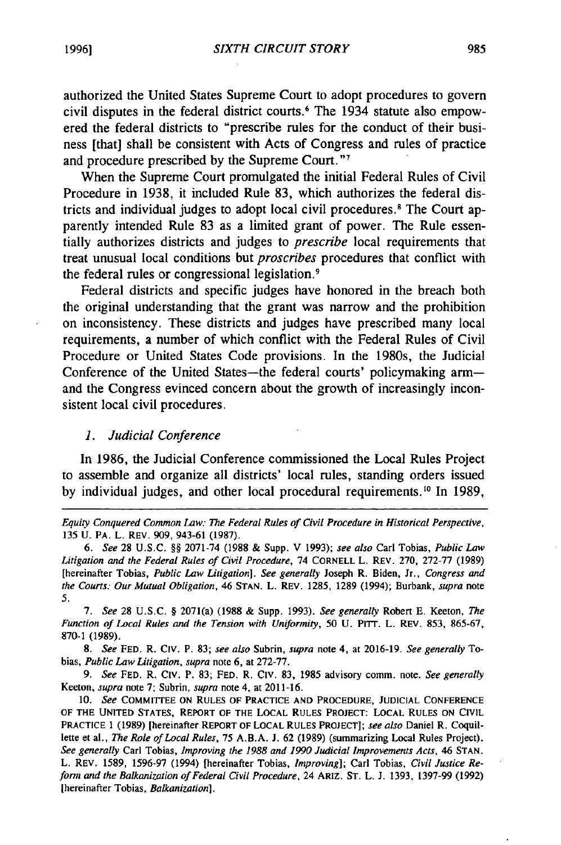authorized the United States Supreme Court to adopt procedures to govern civil disputes in the federal district courts. 6 The 1934 statute also empowered the federal districts to "prescribe rules for the conduct of their business [that] shall be consistent with Acts of Congress and rules of practice and procedure prescribed by the Supreme Court. "<sup>7</sup>

When the Supreme Court promulgated the initial Federal Rules of Civil Procedure in 1938, it included Rule 83, which authorizes the federal districts and individual judges to adopt local civil procedures. 8 The Court apparently intended Rule 83 as a limited grant of power. The Rule essentially authorizes districts and judges to *prescribe* local requirements that treat unusual local conditions but *proscribes* procedures that conflict with the federal rules or congressional legislation. <sup>9</sup>

Federal districts and specific judges have honored in the breach both the original understanding that the grant was narrow and the prohibition on inconsistency. These districts and judges have prescribed many local requirements, a number of which conflict with the Federal Rules of Civil Procedure or United States Code provisions. In the 1980s, the Judicial Conference of the United States-the federal courts' policymaking armand the Congress evinced concern about the growth of increasingly inconsistent local civil procedures.

#### *1. Judicial Conference*

In 1986, the Judicial Conference commissioned the Local Rules Project to assemble and organize all districts' local rules, standing orders issued by individual judges, and other local procedural requirements.<sup>10</sup> In 1989,

6. *See* 28 U.S.C. §§ 2071-74 (1988 & Supp. V 1993); *see also* Carl Tobias, *Public Law Litigation and the Federal Rules of Civil Procedure,* 74 CORNELL L. REV. 270, 272-77 (1989) [hereinafter Tobias, *Public Law Litigation]. See generally* Joseph R. Biden, Jr., *Congress and the Courts: Our Mutual Obligation,* 46 STAN. L. REV. 1285, 1289 (1994); Burbank, *supra* note 5.

7. *See* 28 U.S.C. § 207l(a) (1988 & Supp. 1993). *See generally* Robert E. Keeton, *The Function of Local Rules and the Tension with Uniformity,* 50 U. PITT. L. REV. 853, 865-67, 870-1 (1989).

8. *See* FED. R. C1v. P. 83; *see also* Subrin, *supra* note 4, at 2016-19. *See generally* Tobias, *Public Law Litigation, supra* note 6, at 272-77.

9. *See* FED. R. C1v. P. 83; FED. R. C1v. 83, 1985 advisory comm. note. *See generally*  Keeton, *supra* note 7; Subrin, *supra* note 4, at 2011-16.

10. *See* COMMITTEE ON RULES OF PRACTICE AND PROCEDURE, JUDICIAL CONFERENCE OF THE UNITED STATES, REPORT OF THE LOCAL RULES PROJECT: LOCAL RULES ON CIVIL PRACTICE 1 (1989) [hereinafter REPORT OF LOCAL RULES PROJECT]; *see also* Daniel R. Coquillette et al., *The Role of Local Rules, 15* A.B.A. J. 62 (1989) (summarizing Local Rules Project). *See generally* Carl Tobias, *Improving the 1988 and 1990 Judicial Improvements Acts,* 46 STAN. L. REV. 1589, 1596-97 (1994) [hereinafter Tobias, *Improving];* Carl Tobias, *Civil Justice Reform and the Balkanization of Federal Civil Procedure,* 24 ARIZ. ST. L. J. 1393, 1397-99 (1992) [hereinafter Tobias, *Balkanization].* 

*Equity Conquered Common Law: The Federal Rules of Civil Procedure in Historical Perspective,*  135 U. PA. L. REV. 909, 943-61 (1987).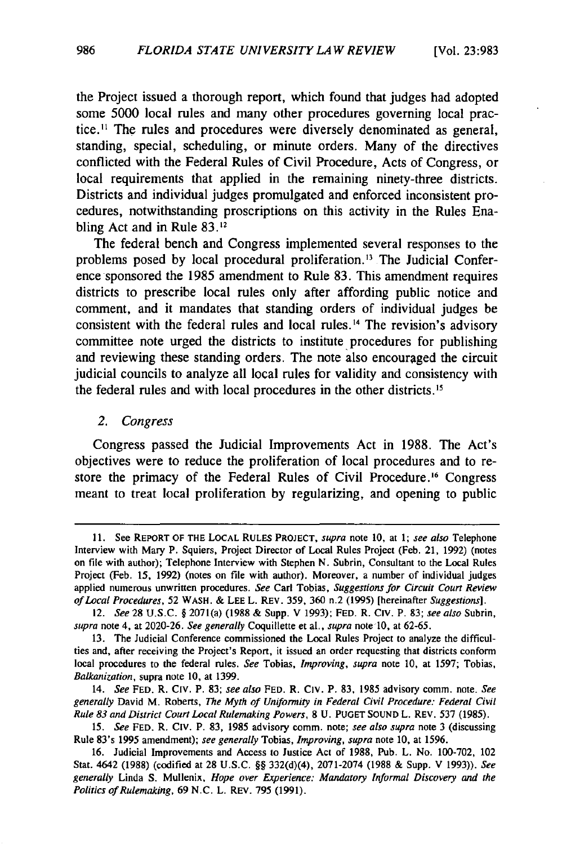the Project issued a thorough report, which found that judges had adopted some 5000 local rules and many other procedures governing local practice .11 The rules and procedures were diversely denominated as general, standing, special, scheduling, or minute orders. Many of the directives conflicted with the Federal Rules of Civil Procedure, Acts of Congress, or local requirements that applied in the remaining ninety-three districts. Districts and individual judges promulgated and enforced inconsistent procedures, notwithstanding proscriptions on this activity in the Rules Enabling Act and in Rule 83.<sup>12</sup>

The federal bench and Congress implemented several responses to the problems posed by local procedural proliferation. 13 The Judicial Conference sponsored the 1985 amendment to Rule 83. This amendment requires districts to prescribe local rules only after affording public notice and comment, and it mandates that standing orders of individual judges be consistent with the federal rules and local rules.<sup>14</sup> The revision's advisory committee note urged the districts to institute procedures for publishing and reviewing these standing orders. The note also encouraged the circuit judicial councils to analyze all local rules for validity and consistency with the federal rules and with local procedures in the other districts. <sup>15</sup>

*2. Congress* 

Congress passed the Judicial Improvements Act in 1988. The Act's objectives were to reduce the proliferation of local procedures and to restore the primacy of the Federal Rules of Civil Procedure. 16 Congress meant to treat local proliferation by regularizing, and opening to public

<sup>11.</sup> See REPORT OF THE LOCAL RULES PROJECT, *supra* note 10, at l; *see also* Telephone Interview with Mary P. Squiers, Project Director of Local Rules Project (Feb. 21, 1992) (notes on file with author); Telephone Interview with Stephen N. Subrin, Consultant to the Local Rules Project (Feb. 15, 1992) (notes on file with author). Moreover, a number of individual judges applied numerous unwritten procedures. *See* Carl Tobias, *Suggestions for Circuit Coun Review of Local Procedures,* 52 WASH. & LEE L. REV. 359, 360 n.2 (1995) [hereinafter *Suggestions].* 

<sup>12.</sup> *See* 28 U.S.C. § 2071(a) (1988 & Supp. V 1993); FED. R. CIV. P. 83; *see also* Subrin, *supra* note 4, at 2020-26. *See generally* Coquillette et al., *supra* note 10, at 62-65.

<sup>13.</sup> The Judicial Conference commissioned the Local Rules Project to analyze the difficulties and, after receiving the Project's Report, it issued an order requesting that districts conform local procedures to the federal rules. *See* Tobias, *Improving, supra* note 10, at 1597; Tobias, *Balkanization,* supra note 10, at 1399.

<sup>14.</sup> *See* FED. R. CIV. P. 83; *see also* FED. R. C1v. P. 83, 1985 advisory comm. note. *See generally* David M. Roberts, *The Myth of Uniformity in Federal Civil Procedure: Federal Civil Rule 83 and District Coun Local Rulemaking Powers,* 8 U. PUGET SOUND L. REV. 537 (1985).

<sup>15.</sup> *See* FED. R. CIV. P. 83, 1985 advisory comm. note; *see also supra* note 3 (discussing Rule 83's 1995 amendment); *see generally* Tobias, *Improving, supra* note 10, at 1596.

<sup>16.</sup> Judicial Improvements and Access to Justice Act of 1988, Pub. L. No. 100-702, 102 Stat. 4642 (1988) (codified at 28 U.S.C. §§ 332(d)(4), 2071-2074 (1988 & Supp. V 1993)). *See generally* Linda S. Mullenix, *Hope over Experience: Mandatory Informal Discovery and the Politics of Rulemaking,* 69 N.C. L. REV. 795 (1991).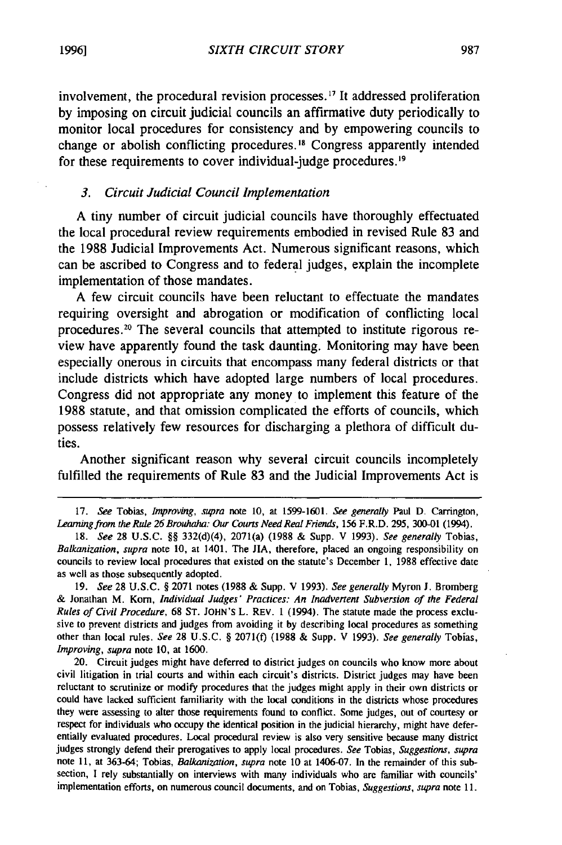involvement, the procedural revision processes. 17 It addressed proliferation by imposing on circuit judicial councils an affirmative duty periodically to monitor local procedures for consistency and by empowering councils to change or abolish conflicting procedures. 18 Congress apparently intended for these requirements to cover individual-judge procedures. <sup>19</sup>

#### *3. Circuit Judicial Council Implementation*

A tiny number of circuit judicial councils have thoroughly effectuated the local procedural review requirements embodied in revised Rule 83 and the 1988 Judicial Improvements Act. Numerous significant reasons, which can be ascribed to Congress and to federal judges, explain the incomplete implementation of those mandates.

A few circuit councils have been reluctant to effectuate the mandates requiring oversight and abrogation or modification of conflicting local procedures. 20 The several councils that attempted to institute rigorous review have apparently found the task daunting. Monitoring may have been especially onerous in circuits that encompass many federal districts or that include districts which have adopted large numbers of local procedures. Congress did not appropriate any money to implement this feature of the 1988 statute, and that omission complicated the efforts of councils, which possess relatively few resources for discharging a plethora of difficult duties.

Another significant reason why several circuit councils incompletely fulfilled the requirements of Rule 83 and the Judicial Improvements Act is

<sup>17.</sup> *See* Tobias, *Improving, supra* note 10, at 1599-1601. *See generally* Paul D. Carrington, Learning from the Rule 26 Brouhaha: Our Courts Need Real Friends, 156 F.R.D. 295, 300-01 (1994).

<sup>18.</sup> *See* 28 U.S.C. §§ 332(d)(4), 207l(a) (1988 & Supp. V 1993). *See generally* Tobias, *Balkanization, supra* note 10, at 1401. The JIA, therefore, placed an ongoing responsibility on councils to review local procedures that existed on the statute's December l, 1988 effective date as well as those subsequently adopted.

<sup>19.</sup> *See* 28 U.S.C. § 2071 notes (1988 & Supp. V 1993). *See generally* Myron J. Bromberg & Jonathan M. Korn, *Individual Judges' Practices: An Jnadvenent Subversion of the Federal Rules of Civil Procedure,* 68 ST. JOHN'S L. REV. l (1994). The statute made the process exclusive to prevent districts and judges from avoiding it by describing local procedures as something other than local rules. *See* 28 U.S.C. § 207l(f) (1988 & Supp. V 1993). *See generally* Tobias, *Improving, supra* note 10, at 1600.

<sup>20.</sup> Circuit judges might have deferred to district judges on councils who know more about civil litigation in trial courts and within each circuit's districts. District judges may have been reluctant to scrutinize or modify procedures that the judges might apply in their own districts or could have lacked sufficient familiarity with the local conditions in the districts whose procedures they were assessing to alter those requirements found to conflict. Some judges, out of courtesy or respect for individuals who occupy the identical position in the judicial hierarchy, might have deferentially evaluated procedures. Local procedural review is also very sensitive because many district judges strongly defend their prerogatives to apply local procedures. *See* Tobias, *Suggestions, supra*  note 11, at 363-64; Tobias, *Balkanization, supra* note 10 at 1406-07. In the remainder of this subsection, I rely substantially on interviews with many individuals who are familiar with councils' implementation efforts, on numerous council documents, and on Tobias, *Suggestions, supra* note 11.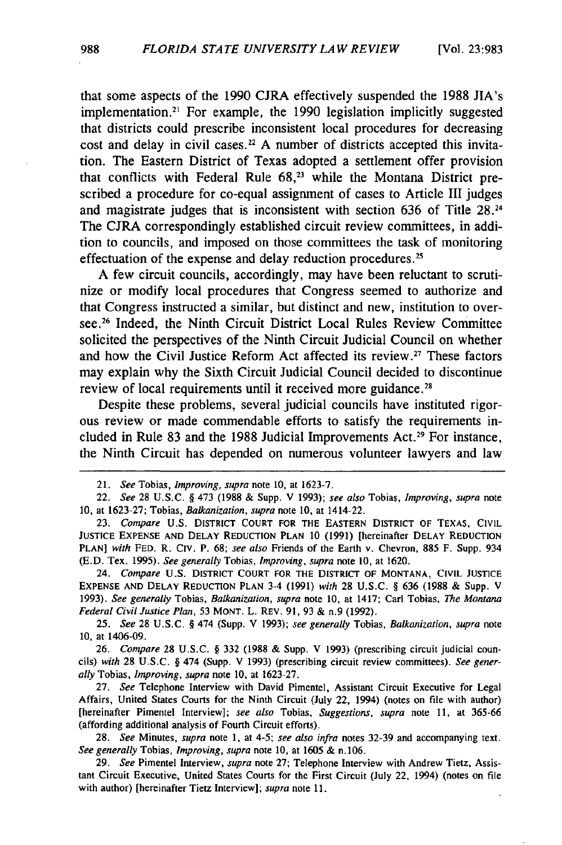that some aspects of the 1990 CJRA effectively suspended the 1988 JIA's implementation.<sup>21</sup> For example, the 1990 legislation implicitly suggested that districts could prescribe inconsistent local procedures for decreasing cost and delay in civil cases.<sup>22</sup> A number of districts accepted this invitation. The Eastern District of Texas adopted a settlement offer provision that conflicts with Federal Rule  $68<sup>23</sup>$  while the Montana District prescribed a procedure for co-equal assignment of cases to Article III judges and magistrate judges that is inconsistent with section 636 of Title  $28<sup>24</sup>$ The CJRA correspondingly established circuit review committees, in addition to councils, and imposed on those committees the task of monitoring effectuation of the expense and delay reduction procedures. *<sup>25</sup>*

A few circuit councils, accordingly, may have been reluctant to scrutinize or modify local procedures that Congress seemed to authorize and that Congress instructed a similar, but distinct and new, institution to oversee.<sup>26</sup> Indeed, the Ninth Circuit District Local Rules Review Committee solicited the perspectives of the Ninth Circuit Judicial Council on whether and how the Civil Justice Reform Act affected its review.<sup>27</sup> These factors may explain why the Sixth Circuit Judicial Council decided to discontinue review of local requirements until it received more guidance. <sup>28</sup>

Despite these problems, several judicial councils have instituted rigorous review or made commendable efforts to satisfy the requirements included in Rule 83 and the 1988 Judicial Improvements Act.<sup>29</sup> For instance, the Ninth Circuit has depended on numerous volunteer lawyers and law

24. *Compare* U.S. DISTRICT COURT FOR THE DISTRICT OF MONTANA, CIVIL JUSTICE EXPENSE AND DELAY REDUCTION PLAN 3-4 (1991) *with* 28 u.s.c. § 636 (1988 & Supp. v 1993). *See generally* Tobias, *Balkanization, supra* note 10, at 1417; Carl Tobias, *The Montana Federal Civil Justice Plan,* 53 MONT. L. REY. 91, 93 & n.9 (1992).

25. *See* 28 U.S.C. § 474 (Supp. V 1993); *see generally* Tobias, *Balkanization, supra* note 10, at 1406-09.

26. *Compare* 28 U .S.C. § 332 (1988 & Supp. V 1993) (prescribing circuit judicial councils) *with* 28 U.S.C. § 474 (Supp. V 1993) {prescribing circuit review committees). *See generally* Tobias, *Improving, supra* note 10, at 1623-27.

27. *See* Telephone Interview with David Pimentel, Assistant Circuit Executive for Legal Affairs, United States Courts for the Ninth Circuit (July 22, 1994) (notes on file with author) [hereinafter Pimentel Interview]; *see also* Tobias, *Suggestions, supra* note 11, at 365-66 (affording additional analysis of Fourth Circuit efforts).

28. *See* Minutes, *supra* note 1, at 4-5; *see also infra* notes 32-39 and accompanying text. *See generally* Tobias, *Improving, supra* note 10, at 1605 & n.106.

29. *See* Pimentel Interview, *supra* note 27; Telephone Interview with Andrew Tietz, Assistant Circuit Executive, United States Courts for the First Circuit (July 22, 1994) (notes on file with author) [hereinafter Tietz Interview]; *supra* note 11.

<sup>21.</sup> *See* Tobias, *Improving, supra* note 10, at 1623-7.

<sup>22.</sup> *See* 28 U.S.C. § 473 (1988 & Supp. V 1993); *see also* Tobias, *Improving, supra* note 10, at 1623-27; Tobias, *Balkanization, supra* note 10, at 1414-22.

<sup>23.</sup> Compare U.S. DISTRICT COURT FOR THE EASTERN DISTRICT OF TEXAS, CIVIL JUSTICE EXPENSE AND DELAY REDUCTION PLAN 10 (1991) [hereinafter DELAY REDUCTION PLAN] *with* FED. R. CIV. P. 68; *see also* Friends of the Earth v. Chevron, 885 F. Supp. 934 (E.D. Tex. 1995). *See generally* Tobias, *Improving, supra* note 10, at 1620.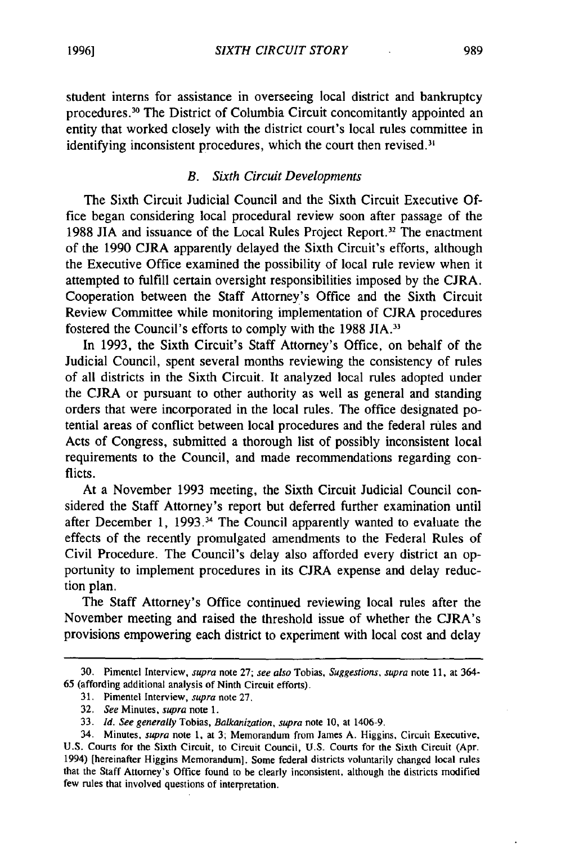student interns for assistance in overseeing local district and bankruptcy procedures. 30 The District of Columbia Circuit concomitantly appointed an entity that worked closely with the district court's local rules committee in identifying inconsistent procedures, which the court then revised.<sup>31</sup>

# *B. Sixth Circuit Developments*

The Sixth Circuit Judicial Council and the Sixth Circuit Executive Office began considering local procedural review soon after passage of the 1988 JIA and issuance of the Local Rules Project Report. 32 The enactment of the 1990 CJRA apparently delayed the Sixth Circuit's efforts, although the Executive Office examined the possibility of local rule review when it attempted to fulfill certain oversight responsibilities imposed by the CJRA. Cooperation between the Staff Attorney's Office and the Sixth Circuit Review Committee while monitoring implementation of CJRA procedures fostered the Council's efforts to comply with the 1988 JIA.<sup>33</sup>

In 1993, the Sixth Circuit's Staff Attorney's Office, on behalf of the Judicial Council, spent several months reviewing the consistency of rules of all districts in the Sixth Circuit. It analyzed local rules adopted under the CJRA or pursuant to other authority as well as general and standing orders that were incorporated in the local rules. The office designated potential areas of conflict between local procedures and the federal rules and Acts of Congress, submitted a thorough list of possibly inconsistent local requirements to the Council, and made recommendations regarding conflicts.

At a November 1993 meeting, the Sixth Circuit Judicial Council considered the Staff Attorney's report but deferred further examination until after December 1, 1993. 34 The Council apparently wanted to evaluate the effects of the recently promulgated amendments to the Federal Rules of Civil Procedure. The Council's delay also afforded every district an opportunity to implement procedures in its CJRA expense and delay reduction plan.

The Staff Attorney's Office continued reviewing local rules after the November meeting and raised the threshold issue of whether the CJRA's provisions empowering each district to experiment with local cost and delay

<sup>30.</sup> Pimentel Interview, *supra* note 27; *see also* Tobias, *Suggestions, supra* note 11, at 364- 65 (affording additional analysis of Ninth Circuit efforts).

<sup>31.</sup> Pimentel Interview, *supra* note 27.

<sup>32.</sup> *See* Minutes, *supra* note 1.

<sup>33.</sup> *Id. See generally* Tobias, *Balkanization, supra* note 10, at 1406-9.

<sup>34.</sup> Minutes, *supra* note 1, at 3; Memorandum from James A. Higgins, Circuit Executive, U.S. Courts for the Sixth Circuit, to Circuit Council, U.S. Courts for the Sixth Circuit (Apr. 1994) [hereinafter Higgins Memorandum]. Some federal districts voluntarily changed local rules that the Staff Attorney's Office found to be clearly inconsistent, although the districts modified few rules that involved questions of interpretation.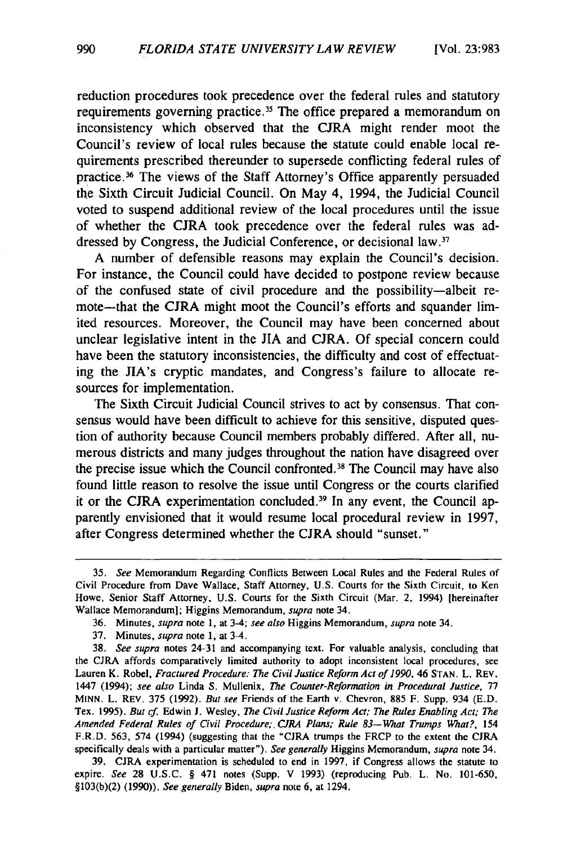reduction procedures took precedence over the federal rules and statutory requirements governing practice.<sup>35</sup> The office prepared a memorandum on inconsistency which observed that the CJRA might render moot the Council's review of local rules because the statute could enable local requirements prescribed thereunder to supersede conflicting federal rules of practice. 36 The views of the Staff Attorney's Office apparently persuaded the Sixth Circuit Judicial Council. On May 4, 1994, the Judicial Council voted to suspend additional review of the local procedures until the issue of whether the CJRA took precedence over the federal rules was addressed by Congress, the Judicial Conference, or decisional law.<sup>37</sup>

A number of defensible reasons may explain the Council's decision. For instance, the Council could have decided to postpone review because of the confused state of civil procedure and the possibility-albeit remote-that the CJRA might moot the Council's efforts and squander limited resources. Moreover, the Council may have been concerned about unclear legislative intent in the JIA and CJRA. Of special concern could have been the statutory inconsistencies, the difficulty and cost of effectuating the JIA's cryptic mandates, and Congress's failure to allocate resources for implementation.

The Sixth Circuit Judicial Council strives to act by consensus. That consensus would have been difficult to achieve for this sensitive, disputed question of authority because Council members probably differed. After all, numerous districts and many judges throughout the nation have disagreed over the precise issue which the Council confronted. 38 The Council may have also found little reason to resolve the issue until Congress or the courts clarified it or the CJRA experimentation concluded.<sup>39</sup> In any event, the Council apparently envisioned that it would resume local procedural review in 1997, after Congress determined whether the CJRA should "sunset."

37. Minutes, *supra* note 1, at 3-4.

38. *See supra* notes 24-31 and accompanying text. For valuable analysis, concluding that the CJRA affords comparatively limited authority to adopt inconsistent local procedures, see Lauren K. Robel, *Fractured Procedure: The Civil Justice Reform Act of 1990*, 46 STAN. L. REV. 1447 (1994); *see also* Linda S. Mullenix, *The Counter-Reformation in Procedural Justice,* 77 MINN. L. REV. 375 (1992). *But see* Friends of the Eanh v. Chevron, 885 F. Supp. 934 (E.D. Tex. 1995). *But cf* Edwin J. Wesley, *The Civil Justice Reform Act; The Rules Enabling Act; The*  Amended Federal Rules of Civil Procedure; CJRA Plans; Rule 83-What Trumps What?, 154 F.R.D. 563, 574 (1994) (suggesting that the "CJRA trumps the FRCP to the extent the CJRA specifically deals with a panicular matter"). *See generally* Higgins Memorandum, *supra* note 34.

39. CJRA experimentation is scheduled to end in 1997, if Congress allows the statute to expire. *See* 28 U.S.C. § 471 notes (Supp. V 1993) (reproducing Pub. L. No. 101-650, §103(b)(2) (1990)). *See generally* Biden, *supra* note 6, at 1294.

<sup>35.</sup> *See* Memorandum Regarding Conflicts Between Local Rules and the Federal Rules of Civil Procedure from Dave Wallace, Staff Attorney, U.S. Couns for the Sixth Circuit, to Ken Howe, Senior Staff Attorney, U.S. Couns for the Sixth Circuit (Mar. 2, 1994) [hereinafter Wallace Memorandum]; Higgins Memorandum, *supra* note 34.

<sup>36.</sup> Minutes, *supra* note I, at 3-4; *see also* Higgins Memorandum, *supra* note 34.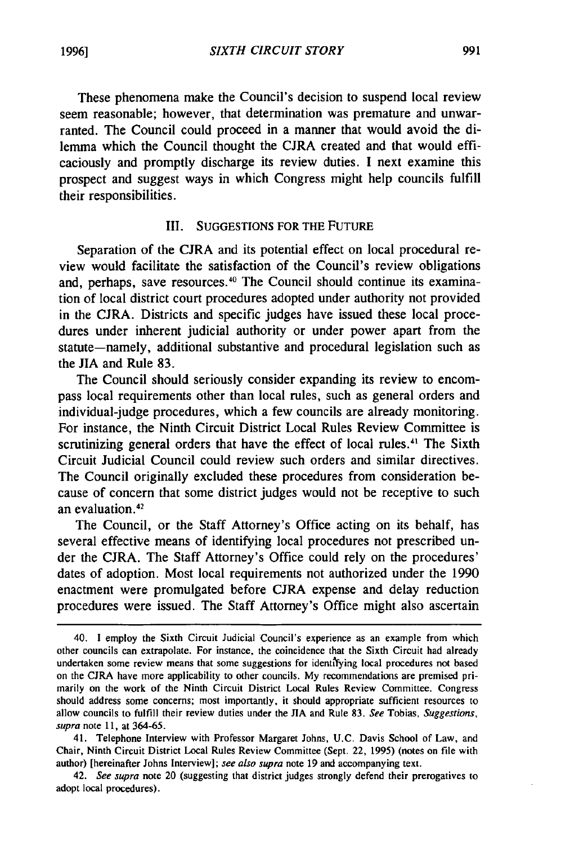These phenomena make the Council's decision to suspend local review seem reasonable; however, that determination was premature and unwarranted. The Council could proceed in a manner that would avoid the dilemma which the Council thought the CJRA created and that would efficaciously and promptly discharge its review duties. I next examine this prospect and suggest ways in which Congress might help councils fulfill their responsibilities.

## III. SUGGESTIONS FOR THE FUTURE

Separation of the CJRA and its potential effect on local procedural review would facilitate the satisfaction of the Council's review obligations and, perhaps, save resources.<sup>40</sup> The Council should continue its examination of local district court procedures adopted under authority not provided in the CJRA. Districts and specific judges have issued these local procedures under inherent judicial authority or under power apart from the statute-namely, additional substantive and procedural legislation such as the JIA and Rule 83.

The Council should seriously consider expanding its review to encompass local requirements other than local rules, such as general orders and individual-judge procedures, which a few councils are already monitoring. For instance, the Ninth Circuit District Local Rules Review Committee is scrutinizing general orders that have the effect of local rules.<sup>41</sup> The Sixth Circuit Judicial Council could review such orders and similar directives. The Council originally excluded these procedures from consideration because of concern that some district judges would not be receptive to such an evaluation.<sup>42</sup>

The Council, or the Staff Attorney's Office acting on its behalf, has several effective means of identifying local procedures not prescribed under the CJRA. The Staff Attorney's Office could rely on the procedures' dates of adoption. Most local requirements not authorized under the 1990 enactment were promulgated before CJRA expense and delay reduction procedures were issued. The Staff Attorney's Office might also ascertain

42. *See supra* note 20 (suggesting that district judges strongly defend their prerogatives to adopt local procedures).

<sup>40.</sup> I employ the Sixth Circuit Judicial Council's experience as an example from which other councils can extrapolate. For instance, the coincidence that the Sixth Circuit had already undertaken some review means that some suggestions for identi'fying local procedures not based on the CIRA have more applicability to other councils. My recommendations are premised primarily on the work of the Ninth Circuit District Local Rules Review Committee. Congress should address some concerns; most importantly. it should appropriate sufficient resources to allow councils to fulfill their review duties under the JIA and Rule 83. *See* Tobias, *Suggestions, supra* note 11, at 364-65.

<sup>41.</sup> Telephone Interview with Professor Margaret Johns, U.C. Davis School of Law, and Chair, Ninth Circuit District Local Rules Review Committee (Sept. 22, 1995) (notes on file with author) [hereinafter Johns Interview]; *see also supra* note 19 and accompanying text.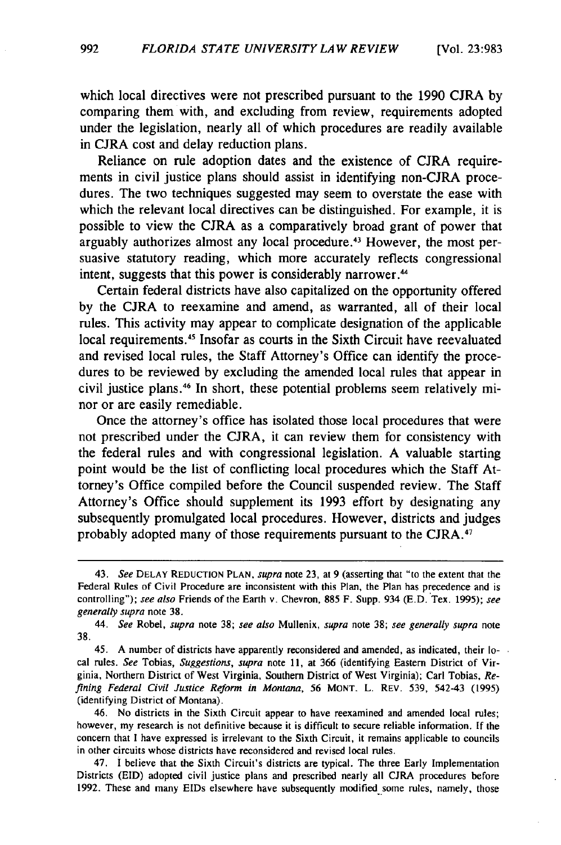which local directives were not prescribed pursuant to the 1990 CJRA by comparing them with, and excluding from review, requirements adopted under the legislation, nearly all of which procedures are readily available in CJRA cost and delay reduction plans.

Reliance on rule adoption dates and the existence of CJRA requirements in civil justice plans should assist in identifying non-CJRA procedures. The two techniques suggested may seem to overstate the ease with which the relevant local directives can be distinguished. For example, it is possible to view the CJRA as a comparatively broad grant of power that arguably authorizes almost any local procedure. 43 However, the most persuasive statutory reading, which more accurately reflects congressional intent, suggests that this power is considerably narrower. <sup>44</sup>

Certain federal districts have also capitalized on the opportunity offered by the CJRA to reexamine and amend, as warranted, all of their local rules. This activity may appear to complicate designation of the applicable local requirements. *45* Insofar as courts in the Sixth Circuit have reevaluated and revised local rules, the Staff Attorney's Office can identify the procedures to be reviewed by excluding the amended local rules that appear in civil justice plans. 46 In short, these potential problems seem relatively minor or are easily remediable.

Once the attorney's office has isolated those local procedures that were not prescribed under the CJRA, it can review them for consistency with the federal rules and with congressional legislation. A valuable starting point would be the list of conflicting local procedures which the Staff Attorney's Office compiled before the Council suspended review. The Staff Attorney's Office should supplement its 1993 effort by designating any subsequently promulgated local procedures. However, districts and judges probably adopted many of those requirements pursuant to the CJRA. <sup>47</sup>

<sup>43.</sup> *See* DELAY REDUCTION PLAN, *supra* note 23, at 9 (assening that "to the extent that the Federal Rules of Civil Procedure are inconsistent with this Plan, the Plan has precedence and is controlling"); see also Friends of the Earth v. Chevron, 885 F. Supp. 934 (E.D. Tex. 1995); see *generally supra* note 38.

<sup>44.</sup> *See* Robel, *supra* note 38; *see also* Mullenix, *supra* note 38; *see generally supra* note 38.

<sup>45.</sup> A number of districts have apparently reconsidered and amended, as indicated, their local rules. *See* Tobias, *Suggestions, supra* note 11, at 366 (identifying Eastern District of Virginia, Nonhem District of West Virginia, Southern District of West Virginia); Carl Tobias, *Refining Federal Civil Justice Reform in Montana, 56* MONT. L. REV. 539, 542-43 (1995) (identifying District of Montana).

<sup>46.</sup> No districts in the Sixth Circuit appear to have reexamined and amended local rules; however, my research is not definitive because it is difficult to secure reliable information. If the concern that I have expressed is irrelevant to the Sixth Circuit, it remains applicable to councils in other circuits whose districts have reconsidered and revised local rules.

<sup>47.</sup> I believe that the Sixth Circuit's districts are typical. The three Early Implementation Districts (EID) adopted civil justice plans and prescribed nearly all CJRA procedures before 1992. These and many EIDs elsewhere have subsequently modified some rules, namely, those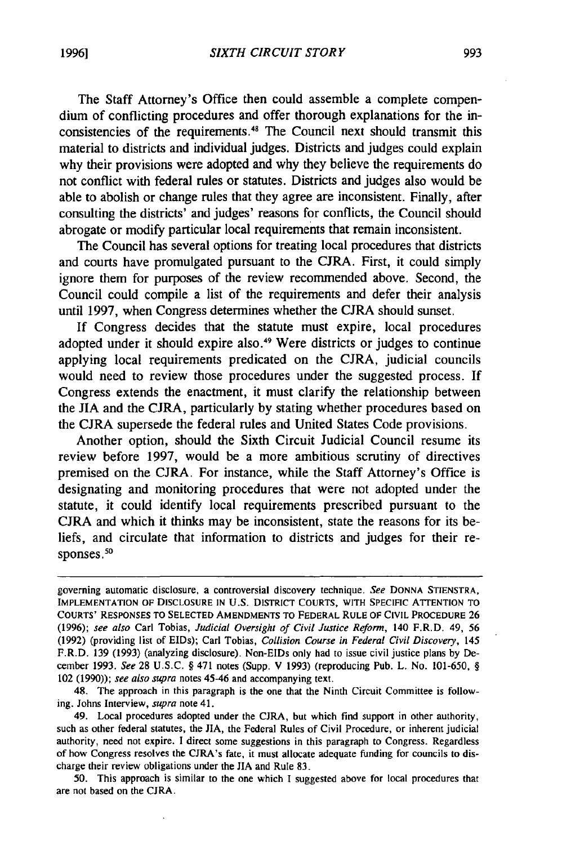The Staff Attorney's Office then could assemble a complete compendium of conflicting procedures and offer thorough explanations for the inconsistencies of the requirements.48 The Council next should transmit this material to districts and individual judges. Districts and judges could explain why their provisions were adopted and why they believe the requirements do not conflict with federal rules or statutes. Districts and judges also would be able to abolish or change rules that they agree are inconsistent. Finally, after consulting the districts' and judges' reasons for conflicts, the Council should abrogate or modify particular local requirements that remain inconsistent.

The Council has several options for treating local procedures that districts and courts have promulgated pursuant to the CJRA. First, it could simply ignore them for purposes of the review recommended above. Second, the Council could compile a list of the requirements and defer their analysis until 1997, when Congress determines whether the CJRA should sunset.

If Congress decides that the statute must expire, local procedures adopted under it should expire also. 49 Were districts or judges to continue applying local requirements predicated on the CJRA, judicial councils would need to review those procedures under the suggested process. If Congress extends the enactment, it must clarify the relationship between the JIA and the CJRA, particularly by stating whether procedures based on the CJRA supersede the federal rules and United States Code provisions.

Another option, should the Sixth Circuit Judicial Council resume its review before 1997, would be a more ambitious scrutiny of directives premised on the CJRA. For instance, while the Staff Attorney's Office is designating and monitoring procedures that were not adopted under the statute, it could identify local requirements prescribed pursuant to the CJRA and which it thinks may be inconsistent, state the reasons for its beliefs, and circulate that information to districts and judges for their responses.<sup>50</sup>

*50.* This approach is similar to the one which I suggested above for local procedures that are not based on the CJRA.

governing automatic disclosure, a controversial discovery technique. *See* DONNA STIENSTRA, IMPLEMENTATION OF DISCLOSURE IN U.S. DISTRICT COURTS, WITH SPECIFIC ATTENTION TO COURTS' RESPONSES TO SELECTED AMENDMENTS TO FEDERAL RULE OF CIVIL PROCEDURE 26 (1996); *see also* Carl Tobias, *Judicial Oversight of Civil Justice Reform,* 140 F.R.D. 49, *56*  (1992) (providing list of EIDs); Carl Tobias, *Collision Course in Federal Civil Discovery,* 145 F.R.D. 139 (1993) (analyzing disclosure). Non-E!Ds only had to issue civil justice plans by December 1993. *See* 28 U.S.C. § 471 notes (Supp. V 1993) (reproducing Pub. L. No. 101-650, § 102 (1990)); *see also supra* notes 45-46 and accompanying text.

<sup>48.</sup> The approach in this paragraph is the one that the Ninth Circuit Committee is following. Johns Interview, *supra* note 41.

<sup>49.</sup> Local procedures adopted under the CJRA, but which find support in other authority, such as other federal statutes, the JIA, the Federal Rules of Civil Procedure, or inherent judicial authority, need not expire. I direct some suggestions in this paragraph to Congress. Regardless of how Congress resolves the CJRA's fate, it must allocate adequate funding for councils to discharge their review obligations under the JIA and Rule 83.